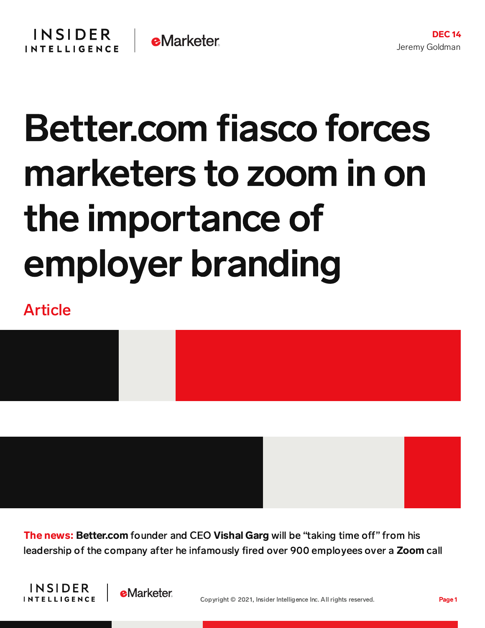## Better.com fiasco forces marketers to zoom in on the importance of employer branding

## Article



The news: Better.com founder and CEO Vishal Garg will be "taking time off" from his leadership of the company after he infamously fired over 900 employees over a Zoom call



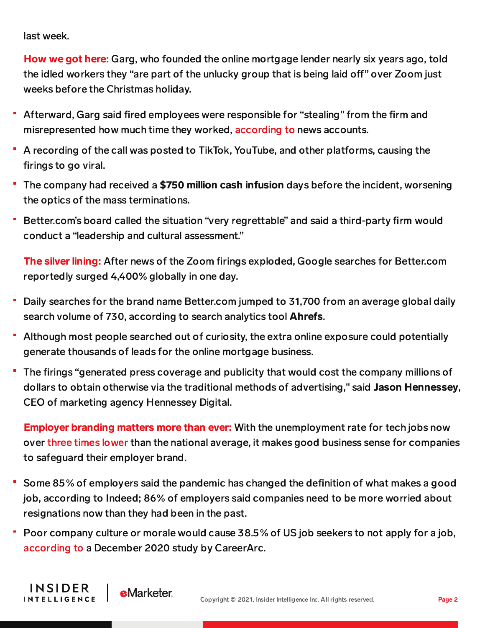last week.

**INSIDER** 

**INTELLIGENCE** 

**e**Marketer

How we got here: Garg, who founded the online mortgage lender nearly six years ago, told the idled workers they "are part of the unlucky group that is being laid off" over Zoom just weeks before the Christmas holiday.

- Afterward, Garg said fired employees were responsible for "stealing" from the firm and misrepresented how much time they worked, [according](https://fortune.com/2021/12/03/better-com-ceo-attacks-laid-off-employees-blind-message-board/) to news accounts.
- A recording of the call was posted to TikTok, YouTube, and other platforms, causing the firings to go viral.
- The company had received a \$750 million cash infusion days before the incident, worsening the optics of the mass terminations.
- Better.com's board called the situation "very regrettable" and said a third-party firm would conduct a "leadership and cultural assessment."

The silver lining: After news of the Zoom firings exploded, Google searches for Better.com reportedly surged 4,400% globally in one day.

- Daily searches for the brand name Better.com jumped to 31,700 from an average global daily search volume of 730, according to search analytics tool Ahrefs.
- Although most people searched out of curiosity, the extra online exposure could potentially generate thousands of leads for the online mortgage business.
- The firings "generated press coverage and publicity that would cost the company millions of dollars to obtain otherwise via the traditional methods of advertising," said Jason Hennessey, CEO of marketing agency Hennessey Digital.

**Employer branding matters more than ever:** With the unemployment rate for tech jobs now over three times [lower](https://insights.dice.com/2021/09/10/technology-unemployment-remains-at-a-historic-low/) than the national average, it makes good business sense for companies to safeguard their employer brand.

- Some 85% of employers said the pandemic has changed the definition of what makes a good job, according to Indeed; 86% of employers said companies need to be more worried about resignations now than they had been in the past.
- Poor company culture or morale would cause 38.5% of US job seekers to not apply for a job, [according](http://totalaccess.emarketer.com/RedirectChart?id=268882) to a December 2020 study by CareerArc.